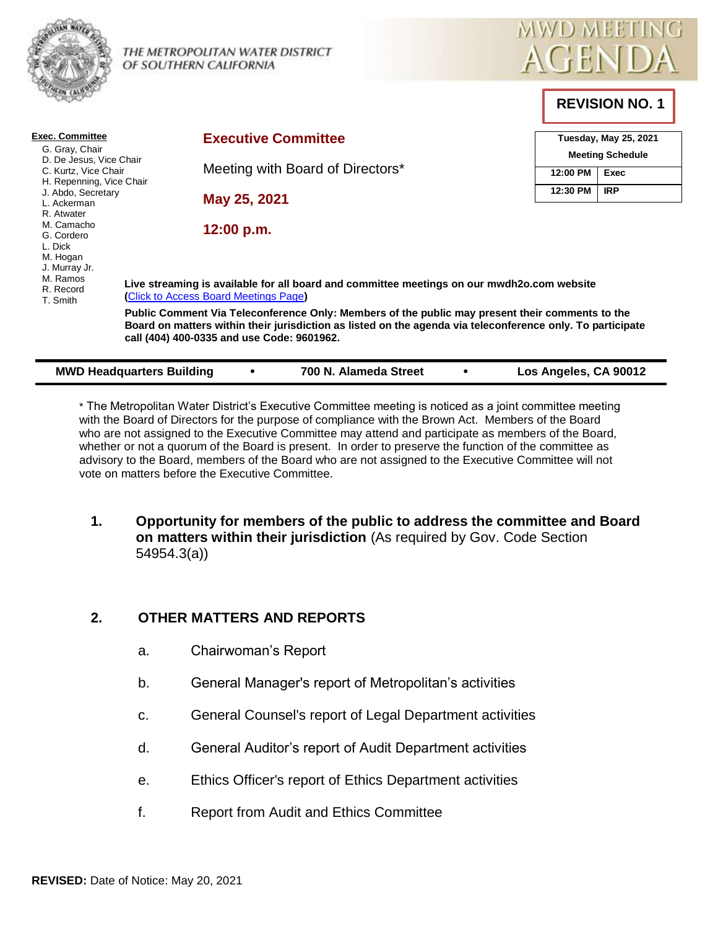

THE METROPOLITAN WATER DISTRICT OF SOUTHERN CALIFORNIA



**REVISION NO. 1**

| <b>Exec. Committee</b><br>G. Gray, Chair<br>D. De Jesus, Vice Chair<br>C. Kurtz, Vice Chair<br>H. Repenning, Vice Chair<br>J. Abdo, Secretary<br>L. Ackerman |                                                                                                                                     |                                                                                                                                                                                                                                                             | <b>Executive Committee</b>       |  |                       |  |  | Tuesday, May 25, 2021 |                         |            |  |
|--------------------------------------------------------------------------------------------------------------------------------------------------------------|-------------------------------------------------------------------------------------------------------------------------------------|-------------------------------------------------------------------------------------------------------------------------------------------------------------------------------------------------------------------------------------------------------------|----------------------------------|--|-----------------------|--|--|-----------------------|-------------------------|------------|--|
|                                                                                                                                                              |                                                                                                                                     |                                                                                                                                                                                                                                                             | Meeting with Board of Directors* |  |                       |  |  |                       | <b>Meeting Schedule</b> |            |  |
|                                                                                                                                                              |                                                                                                                                     |                                                                                                                                                                                                                                                             |                                  |  |                       |  |  | 12:00 PM              | Exec                    |            |  |
|                                                                                                                                                              |                                                                                                                                     |                                                                                                                                                                                                                                                             | May 25, 2021                     |  |                       |  |  |                       | 12:30 PM                | <b>IRP</b> |  |
| R. Atwater<br>M. Camacho<br>G. Cordero<br>L. Dick<br>M. Hogan                                                                                                | 12:00 p.m.                                                                                                                          |                                                                                                                                                                                                                                                             |                                  |  |                       |  |  |                       |                         |            |  |
| J. Murray Jr.<br>M. Ramos<br>R. Record<br>T. Smith                                                                                                           | Live streaming is available for all board and committee meetings on our mwdh2o.com website<br>(Click to Access Board Meetings Page) |                                                                                                                                                                                                                                                             |                                  |  |                       |  |  |                       |                         |            |  |
|                                                                                                                                                              |                                                                                                                                     | Public Comment Via Teleconference Only: Members of the public may present their comments to the<br>Board on matters within their jurisdiction as listed on the agenda via teleconference only. To participate<br>call (404) 400-0335 and use Code: 9601962. |                                  |  |                       |  |  |                       |                         |            |  |
|                                                                                                                                                              | <b>MWD Headquarters Building</b>                                                                                                    |                                                                                                                                                                                                                                                             |                                  |  | 700 N. Alameda Street |  |  |                       | Los Angeles, CA 90012   |            |  |

\* The Metropolitan Water District's Executive Committee meeting is noticed as a joint committee meeting with the Board of Directors for the purpose of compliance with the Brown Act. Members of the Board who are not assigned to the Executive Committee may attend and participate as members of the Board, whether or not a quorum of the Board is present. In order to preserve the function of the committee as advisory to the Board, members of the Board who are not assigned to the Executive Committee will not vote on matters before the Executive Committee.

**1. Opportunity for members of the public to address the committee and Board on matters within their jurisdiction** (As required by Gov. Code Section 54954.3(a))

# **2. OTHER MATTERS AND REPORTS**

- a. Chairwoman's Report
- b. General Manager's report of Metropolitan's activities
- c. General Counsel's report of Legal Department activities
- d. General Auditor's report of Audit Department activities
- e. Ethics Officer's report of Ethics Department activities
- f. Report from Audit and Ethics Committee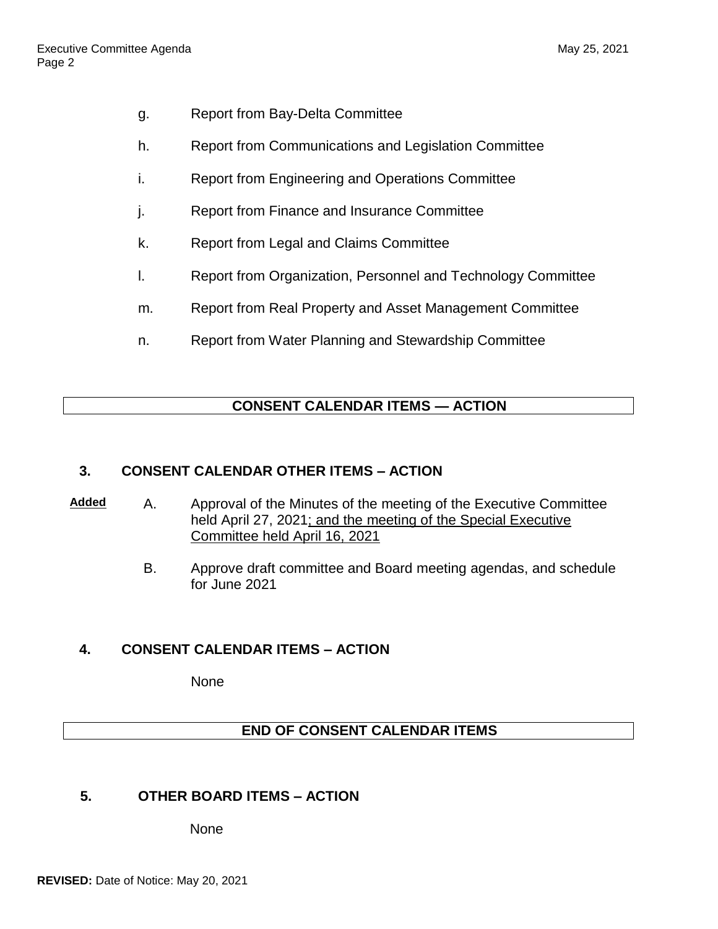- g. Report from Bay-Delta Committee
- h. Report from Communications and Legislation Committee
- i. Report from Engineering and Operations Committee
- j. Report from Finance and Insurance Committee
- k. Report from Legal and Claims Committee
- l. Report from Organization, Personnel and Technology Committee
- m. Report from Real Property and Asset Management Committee
- n. Report from Water Planning and Stewardship Committee

## **CONSENT CALENDAR ITEMS — ACTION**

#### **3. CONSENT CALENDAR OTHER ITEMS – ACTION**

- **Added** A. Approval of the Minutes of the meeting of the Executive Committee held April 27, 2021; and the meeting of the Special Executive Committee held April 16, 2021
	- B. Approve draft committee and Board meeting agendas, and schedule for June 2021

#### **4. CONSENT CALENDAR ITEMS – ACTION**

**None** 

#### **END OF CONSENT CALENDAR ITEMS**

#### **5. OTHER BOARD ITEMS – ACTION**

None